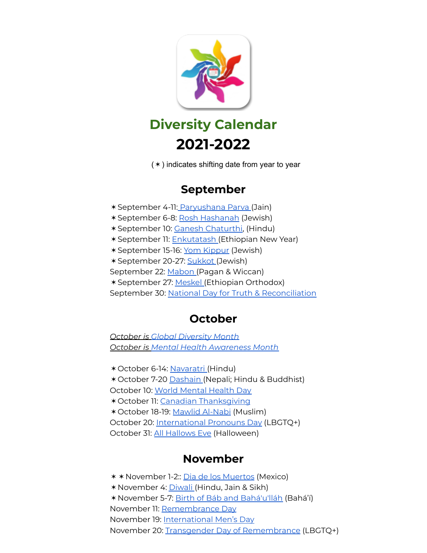

(✶) indicates shifting date from year to year

## **September**

✶September 4-11: [Paryushana](https://www.4to40.com/indian-festivals/paryushan-parva/) Parva (Jain) ✶September 6-8: Rosh [Hashanah](https://pjlibrary.org/rosh-hashanah) (Jewish) ✶September 10: Ganesh [Chaturthi,](https://kidpillar.com/celebrating-ganesh-chaturthi-with-kids/) (Hindu) ✶September 11: [Enkutatash](https://culturalawareness.com/enkutatash-ethiopian-new-year/) (Ethiopian New Year) ✶September 15-16: Yom [Kippur](https://pjlibrary.org/yom-kippur) (Jewish) ✶September 20-27: [Sukkot](https://pjlibrary.org/sukkot) (Jewish) September 22: [Mabon](https://www.learnreligions.com/celebrating-mabon-with-kids-2562314) (Pagan & Wiccan) ✶September 27: [Meskel](https://www.catholicsandcultures.org/ethiopia/meskel) (Ethiopian Orthodox) September 30: National Day for Truth & [Reconciliation](https://www.cbc.ca/kidsnews/post/watch-what-does-reconciliation-mean)

# **October**

*October is Global [Diversity](https://nationaltoday.com/global-diversity-awareness-month/) Month October is Mental Health [Awareness](https://childrenshospitals.ca/mental-health-is-on-our-mind-this-month/#:~:text=October%20is%20Mental%20Health%20Awareness%20Month%20in%20Canada%20%7C%20CCHF) Month*

✶October 6-14: [Navaratri](https://mocomi.com/navratri/) (Hindu) ✶October 7-20 [Dashain](https://abovethehimalaya.com/blog/dashain-festival-of-nepal.html) (Nepali; Hindu & Buddhist) October 10: World [Mental](https://www.who.int/campaigns/world-mental-health-day) Health Day ✶October 11: Canadian [Thanksgiving](https://www.cbc.ca/kidscbc2/the-feed/whats-the-story-thanksgiving) ✶October 18-19: Mawlid [Al-Nabi](https://kids.britannica.com/kids/article/Mawlid/626398) (Muslim) October 20: [International](https://www.mypronouns.org/) Pronouns Day (LBGTQ+) October 31: All [Hallows](https://www.cbc.ca/kidscbc2/the-feed/nine-different-ways-halloween-is-celebrated-around-the-world) Eve (Halloween)

## **November**

✶✶November 1-2:: Dia de los [Muertos](https://kids.nationalgeographic.com/celebrations/article/day-of-the-dead) (Mexico) ✶November 4: [Diwali](https://www.cbc.ca/kidscbc2/the-feed/whats-the-story-diwali) (Hindu, Jain & Sikh) ✶November 5-7: Birth of Báb and [Bahá'u'lláh](http://childrensclasses.org/lessons/history-holidays/the-twin-holy-birthdays/) (Bahá'í) November 11: [Remembrance](https://www.cbc.ca/kidscbc2/the-feed/8-things-you-can-do-for-remembrance-day) Day November 19: [International](https://www.internationalmensday.info/) Men's Day November 20: Transgender Day of [Remembrance](https://www.twinkl.ca/event/transgender-day-of-remembrance-2021-2021) (LBGTQ+)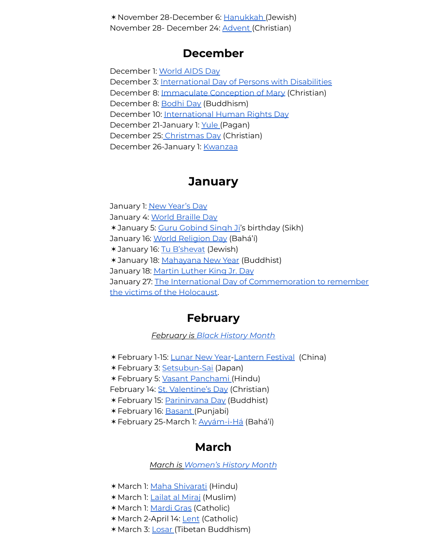✶November 28-December 6: [Hanukkah](https://www.cbc.ca/kidscbc2/the-feed/whats-the-story-hanukkah) (Jewish) November 28- December 24: [Advent](https://www.whychristmas.com/customs/advent.shtml) (Christian)

#### **December**

December 1: [World](https://www.compassion.com/world-days/world-aids-day.htm) AIDS Day December 3: [International](https://www.twinkl.ca/event/international-day-of-persons-with-disabilities-2021) Day of Persons with Disabilities December 8: [Immaculate](https://teachingcatholickids.com/celebrate-the-feast-of-the-immaculate-conception-with-your-kids/) Conception of Mary (Christian) December 8: [Bodhi](https://bodhiday.org/) Day (Buddhism) December 10: [International](https://www.globetrottinkids.com/human-rights-day-information-resources-for-kids/) Human Rights Day December 21-January 1: [Yule](https://www.learnreligions.com/celebrate-yule-with-kids-2563007) (Pagan) December 25: [Christmas](https://www.cbc.ca/kidscbc2/the-feed/six-christmas-traditions-from-around-the-world) Day (Christian) December 26-January 1: [Kwanzaa](https://www.cbc.ca/kidscbc2/the-feed/all-about-kwanzaa)

### **January**

January 1: New [Year's](https://www.cbc.ca/kidscbc2/the-feed/whats-the-story-new-years-day) Day January 4: World [Braille](https://www.bbc.co.uk/newsround/55234828) Day ✶January 5: Guru [Gobind](https://kids.kiddle.co/Guru_Gobind_Singh) Singh Ji's birthday (Sikh) January 16: World [Religion](https://www.bahaiblog.net/2019/01/what-is-world-religion-day/) Day (Bahá'í) ✶January 16: Tu [B'shevat](https://pjlibrary.org/tubshevat) (Jewish) ✶January 18: [Mahayana](https://www.worldreligionnews.com/religion-news/new-year-traditions-mahayana-buddhism) New Year (Buddhist) January 18: Martin [Luther](https://kids.nationalgeographic.com/history/article/martin-luther-king-jr) King Jr. Day January 27: The International Day of [Commemoration](https://www.timeanddate.com/holidays/un/commemoration-of-holocaust-victims) to remember the victims of the [Holocaust.](https://www.timeanddate.com/holidays/un/commemoration-of-holocaust-victims)

#### **February**

*February is Black [History](https://www.cbc.ca/kidscbc2/the-feed/all-about-black-history-month) Month*

- ✶February 1-15: [Lunar](https://www.cbc.ca/kidscbc2/the-feed/the-beautiful-dancing-creatures-of-lunar-new-year) New Year-[Lantern](https://www.cbc.ca/kidscbc2/the-feed/make-a-lantern-for-lunar-new-year) Festival (China)
- ✶February 3: [Setsubun-Sai](https://www.dltk-kids.com/World/japan/index-setsubun.htm) (Japan)
- ✶February 5: Vasant [Panchami](https://mocomi.com/saraswati-puja/) (Hindu)
- February 14: St. [Valentine's](https://kids.nationalgeographic.com/celebrations/article/valentines-day) Day (Christian)
- ✶February 15: [Parinirvana](https://www.learnreligions.com/nirvana-day-449911) Day (Buddhist)
- ✶February 16: [Basant](https://www.cbc.ca/kidscbc2/the-feed/lets-enjoy-basant-a-huge-kite-flying-festival) (Punjabi)
- ✶February 25-March 1: [Ayyám-i-Há](http://childrensclasses.org/lessons/history-holidays/ayyam-i-ha/) (Bahá'í)

# **March**

*March is [Women's](https://kids.nationalgeographic.com/history/article/womens-history-month) History Month*

- ✶March 1: Maha [Shivarati](https://mocomi.com/maha-shivaratri/) (Hindu)
- ✶March 1: [Lailat](https://www.timeanddate.com/holidays/canada/isra-miraj) al Miraj (Muslim)
- ✶March 1: [Mardi](https://kids.britannica.com/kids/article/Mardi-Gras/353427) Gras (Catholic)
- ✶March 2-April 14: [Lent](https://kids.britannica.com/kids/article/Lent/490137) (Catholic)
- ✶March 3: [Losar](https://tibet.net/a-brief-introduction-to-losar-tibetan-new-year/) (Tibetan Buddhism)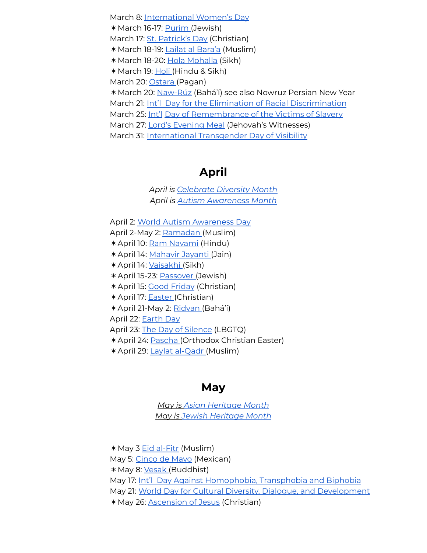March 8: [International](https://www.natgeokids.com/za/discover/history/general-history/international-womens-day/) Women's Day ✶March 16-17: [Purim](https://pjlibrary.org/beyond-books/pjblog/march-2016/kid-friendly-purim-story) (Jewish) March 17: St. [Patrick's](https://kids.nationalgeographic.com/celebrations/article/st-patricks-day) Day (Christian) ✶March 18-19: Lailat al [Bara'a](https://www.reonline.org.uk/festival_event/the-night-of-forgiveness-lailat-ul-baraah-14th-shaban/) (Muslim) ✶March 18-20: Hola [Mohalla](https://faithseekerkids.com/its-hola-mohalla-let-the-games-begin/) (Sikh) ✶March 19: [Holi](https://www.cbc.ca/kidscbc2/the-feed/get-ready-to-throw-colourful-powder-for-holi) (Hindu & Sikh) March 20: [Ostara](https://www.learnreligions.com/all-about-ostara-the-spring-equinox-2562471) (Pagan) ✶March 20: [Naw-Rúz](https://bahaiteachings.org/welcome-to-the-bahai-new-year-naw-ruz/) (Bahá'í) see also Nowruz Persian New Year March 21: Int'l Day for the Elimination of Racial [Discrimination](https://www.un.org/en/observances/end-racism-day) March 25: [Int'l](https://www.un.org/en/observances/end-racism-day) Day of [Remembrance](https://www.twinkl.ca/event/the-international-day-of-remembrance-of-the-victims-of-slavery-2021) of the Victims of Slavery March 27: Lord's [Evening](https://www.vanderbilt.edu/diversity/jehovahs-witnesses-observance-of-the-memorial-of-jesus-christs-death/) Meal (Jehovah's Witnesses) March 31: [International](https://www.glsen.org/activity/transgender-day-visibility) Transgender Day of Visibility

#### **April**

*April is [Celebrate](https://www.doinggoodtogether.org/bhf/celebrate-diversity) Diversity Month April is Autism [Awareness](https://www.autismspeaks.ca/get-involved/participate/world-autism-month/) Month*

April 2: World Autism [Awareness](https://www.twinkl.ca/event/world-autism-awareness-day-2021) Day April 2-May 2: [Ramadan](https://www.cbc.ca/kidscbc2/the-feed/ramadan-be-good-to-yourself-and-to-others) (Muslim)

✶April 10: Ram [Navami](https://knowindia.gov.in/culture-and-heritage/festivals/ramnavami.php) (Hindu)

- ✶April 14: [Mahavir](https://www.indiaparenting.com/mahavir-jayanti.html) Jayanti (Jain)
- ✶April 14: [Vaisakhi](https://www.cbc.ca/kidscbc2/the-feed/whats-the-story-vaisakhi) (Sikh)
- ✶April 15-23: [Passover](https://www.cbc.ca/kidscbc2/the-feed/how-passover-is-celebrated-around-the-world) (Jewish)

✶April 15: Good [Friday](https://kids.kiddle.co/Good_Friday) (Christian)

✶April 17: [Easter](https://kids.kiddle.co/Easter) (Christian)

✶April 21-May 2: [Ridvan](https://www.cbc.ca/kidscbc2/the-feed/get-ready-for-the-king-of-festivals) (Bahá'í)

April 22: [Earth](https://kids.nationalgeographic.com/celebrations/article/earth-day) Day

April 23: The Day of [Silence](https://www.glsen.org/day-of-silence) (LBGTQ)

✶April 24: [Pascha](https://multiculturalkidblogs.com/2017/03/31/celebrating-pascha-greek-orthodox-easter-traditions/) (Orthodox Christian Easter)

✶April 29: Laylat [al-Qadr](http://blog.noorkids.com/3-kid-friendly-resources-night-of-power/) (Muslim)

#### **May**

*May is Asian [Heritage](https://virl.bc.ca/asian-heritage-month/) Month May is Jewish [Heritage](http://jewishheritage.ca/) Month*

✶May 3 Eid [al-Fitr](https://www.cbc.ca/kidscbc2/the-feed/eid-al-fitr-its-all-about-generosity-and-gratitude) (Muslim) May 5: [Cinco](https://www.cbc.ca/kidscbc2/the-feed/lets-celebrate-mexico) de Mayo (Mexican) ✶May 8: [Vesak](https://www.cbc.ca/kidscbc2/the-feed/vesak-happy-birthday-buddha) (Buddhist) May 17: Int'l Day Against [Homophobia,](https://may17.org/) Transphobia and Biphobia May 21: World Day for Cultural Diversity, Dialogue, and [Development](https://en.unesco.org/commemorations/culturaldiversityday) ✶May 26: [Ascension](https://kids.kiddle.co/Ascension) of Jesus (Christian)